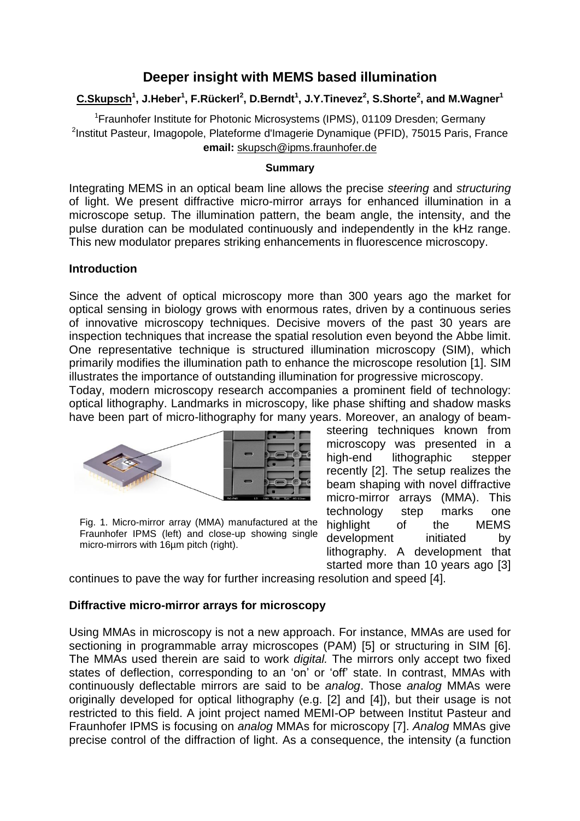# **Deeper insight with MEMS based illumination**

# **C.Skupsch<sup>1</sup> , J.Heber<sup>1</sup> , F.Rückerl<sup>2</sup> , D.Berndt<sup>1</sup> , J.Y.Tinevez<sup>2</sup> , S.Shorte<sup>2</sup> , and M.Wagner 1**

<sup>1</sup>Fraunhofer Institute for Photonic Microsystems (IPMS), 01109 Dresden; Germany <sup>2</sup>Institut Pasteur, Imagopole, Plateforme d'Imagerie Dynamique (PFID), 75015 Paris, France **email:** skupsch@ipms.fraunhofer.de

#### **Summary**

Integrating MEMS in an optical beam line allows the precise *steering* and *structuring* of light. We present diffractive micro-mirror arrays for enhanced illumination in a microscope setup. The illumination pattern, the beam angle, the intensity, and the pulse duration can be modulated continuously and independently in the kHz range. This new modulator prepares striking enhancements in fluorescence microscopy.

#### **Introduction**

Since the advent of optical microscopy more than 300 years ago the market for optical sensing in biology grows with enormous rates, driven by a continuous series of innovative microscopy techniques. Decisive movers of the past 30 years are inspection techniques that increase the spatial resolution even beyond the Abbe limit. One representative technique is structured illumination microscopy (SIM), which primarily modifies the illumination path to enhance the microscope resolution [1]. SIM illustrates the importance of outstanding illumination for progressive microscopy.

Today, modern microscopy research accompanies a prominent field of technology: optical lithography. Landmarks in microscopy, like phase shifting and shadow masks have been part of micro-lithography for many years. Moreover, an analogy of beam-



Fig. 1. Micro-mirror array (MMA) manufactured at the Fraunhofer IPMS (left) and close-up showing single micro-mirrors with 16µm pitch (right).

steering techniques known from microscopy was presented in a high-end lithographic stepper recently [2]. The setup realizes the beam shaping with novel diffractive micro-mirror arrays (MMA). This technology step marks one highlight of the MEMS development initiated by lithography. A development that started more than 10 years ago [3]

continues to pave the way for further increasing resolution and speed [4].

#### **Diffractive micro-mirror arrays for microscopy**

Using MMAs in microscopy is not a new approach. For instance, MMAs are used for sectioning in programmable array microscopes (PAM) [5] or structuring in SIM [6]. The MMAs used therein are said to work *digital.* The mirrors only accept two fixed states of deflection, corresponding to an 'on' or 'off' state. In contrast, MMAs with continuously deflectable mirrors are said to be *analog*. Those *analog* MMAs were originally developed for optical lithography (e.g. [2] and [4]), but their usage is not restricted to this field. A joint project named MEMI-OP between Institut Pasteur and Fraunhofer IPMS is focusing on *analog* MMAs for microscopy [7]. *Analog* MMAs give precise control of the diffraction of light. As a consequence, the intensity (a function